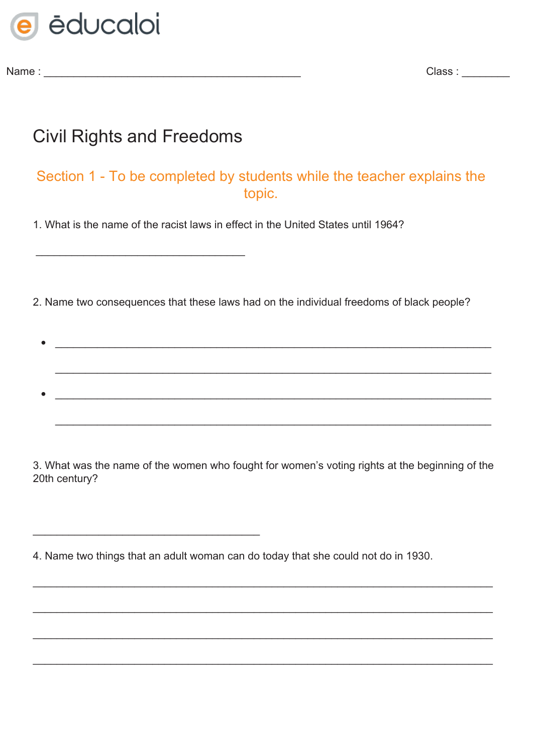

Name : \_\_\_\_\_\_\_\_\_\_\_\_\_\_\_\_\_\_\_\_\_\_\_\_\_\_\_\_\_\_\_\_\_\_\_\_\_\_\_\_\_\_\_ Class : \_\_\_\_\_\_\_\_

## Civil Rights and Freedoms

\_\_\_\_\_\_\_\_\_\_\_\_\_\_\_\_\_\_\_\_\_\_\_\_\_\_\_\_\_\_\_\_\_\_\_

\_\_\_\_\_\_\_\_\_\_\_\_\_\_\_\_\_\_\_\_\_\_\_\_\_\_\_\_\_\_\_\_\_\_\_\_\_\_

## Section 1 - To be completed by students while the teacher explains the topic.

1. What is the name of the racist laws in effect in the United States until 1964?

2. Name two consequences that these laws had on the individual freedoms of black people?

• \_\_\_\_\_\_\_\_\_\_\_\_\_\_\_\_\_\_\_\_\_\_\_\_\_\_\_\_\_\_\_\_\_\_\_\_\_\_\_\_\_\_\_\_\_\_\_\_\_\_\_\_\_\_\_\_\_\_\_\_\_\_\_\_\_\_\_\_\_\_\_\_\_ \_\_\_\_\_\_\_\_\_\_\_\_\_\_\_\_\_\_\_\_\_\_\_\_\_\_\_\_\_\_\_\_\_\_\_\_\_\_\_\_\_\_\_\_\_\_\_\_\_\_\_\_\_\_\_\_\_\_\_\_\_\_\_\_\_\_\_\_\_\_\_\_\_ • \_\_\_\_\_\_\_\_\_\_\_\_\_\_\_\_\_\_\_\_\_\_\_\_\_\_\_\_\_\_\_\_\_\_\_\_\_\_\_\_\_\_\_\_\_\_\_\_\_\_\_\_\_\_\_\_\_\_\_\_\_\_\_\_\_\_\_\_\_\_\_\_\_ \_\_\_\_\_\_\_\_\_\_\_\_\_\_\_\_\_\_\_\_\_\_\_\_\_\_\_\_\_\_\_\_\_\_\_\_\_\_\_\_\_\_\_\_\_\_\_\_\_\_\_\_\_\_\_\_\_\_\_\_\_\_\_\_\_\_\_\_\_\_\_\_\_

3. What was the name of the women who fought for women's voting rights at the beginning of the 20th century?

\_\_\_\_\_\_\_\_\_\_\_\_\_\_\_\_\_\_\_\_\_\_\_\_\_\_\_\_\_\_\_\_\_\_\_\_\_\_\_\_\_\_\_\_\_\_\_\_\_\_\_\_\_\_\_\_\_\_\_\_\_\_\_\_\_\_\_\_\_\_\_\_\_\_\_\_\_

\_\_\_\_\_\_\_\_\_\_\_\_\_\_\_\_\_\_\_\_\_\_\_\_\_\_\_\_\_\_\_\_\_\_\_\_\_\_\_\_\_\_\_\_\_\_\_\_\_\_\_\_\_\_\_\_\_\_\_\_\_\_\_\_\_\_\_\_\_\_\_\_\_\_\_\_\_

\_\_\_\_\_\_\_\_\_\_\_\_\_\_\_\_\_\_\_\_\_\_\_\_\_\_\_\_\_\_\_\_\_\_\_\_\_\_\_\_\_\_\_\_\_\_\_\_\_\_\_\_\_\_\_\_\_\_\_\_\_\_\_\_\_\_\_\_\_\_\_\_\_\_\_\_\_

\_\_\_\_\_\_\_\_\_\_\_\_\_\_\_\_\_\_\_\_\_\_\_\_\_\_\_\_\_\_\_\_\_\_\_\_\_\_\_\_\_\_\_\_\_\_\_\_\_\_\_\_\_\_\_\_\_\_\_\_\_\_\_\_\_\_\_\_\_\_\_\_\_\_\_\_\_

4. Name two things that an adult woman can do today that she could not do in 1930.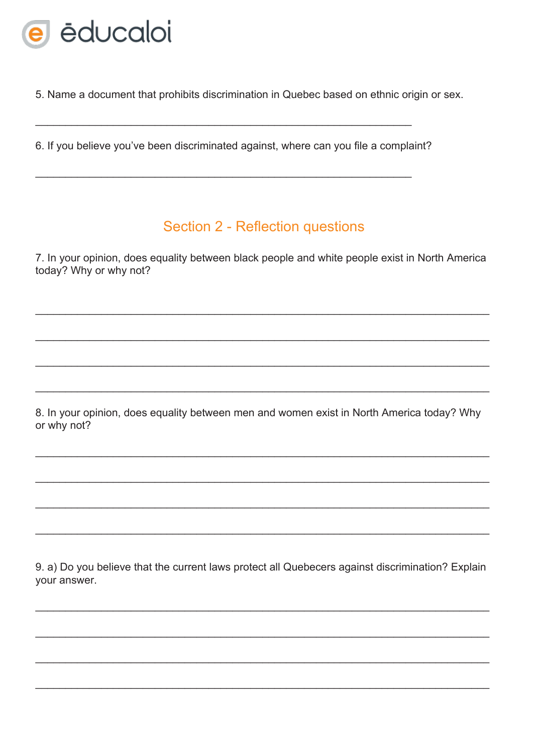

5. Name a document that prohibits discrimination in Quebec based on ethnic origin or sex.

6. If you believe you've been discriminated against, where can you file a complaint?

## Section 2 - Reflection questions

7. In your opinion, does equality between black people and white people exist in North America today? Why or why not?

8. In your opinion, does equality between men and women exist in North America today? Why or why not?

9. a) Do you believe that the current laws protect all Quebecers against discrimination? Explain your answer.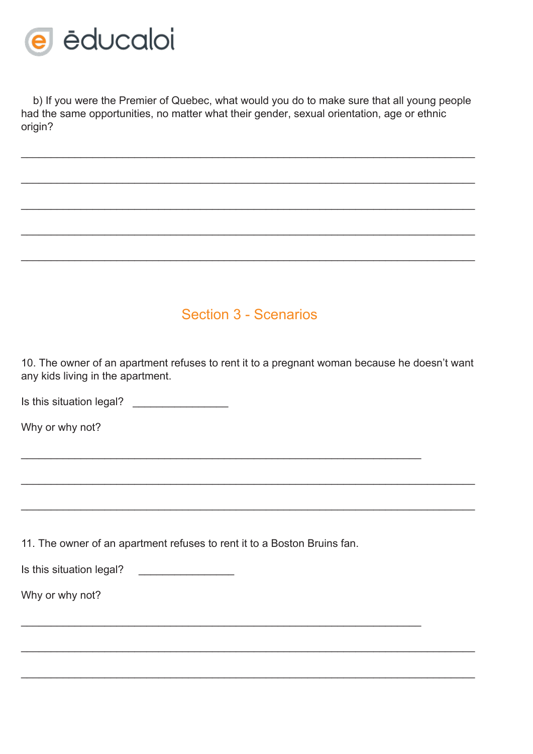

b) If you were the Premier of Quebec, what would you do to make sure that all young people had the same opportunities, no matter what their gender, sexual orientation, age or ethnic origin?

\_\_\_\_\_\_\_\_\_\_\_\_\_\_\_\_\_\_\_\_\_\_\_\_\_\_\_\_\_\_\_\_\_\_\_\_\_\_\_\_\_\_\_\_\_\_\_\_\_\_\_\_\_\_\_\_\_\_\_\_\_\_\_\_\_\_\_\_\_\_\_\_\_\_\_\_

\_\_\_\_\_\_\_\_\_\_\_\_\_\_\_\_\_\_\_\_\_\_\_\_\_\_\_\_\_\_\_\_\_\_\_\_\_\_\_\_\_\_\_\_\_\_\_\_\_\_\_\_\_\_\_\_\_\_\_\_\_\_\_\_\_\_\_\_\_\_\_\_\_\_\_\_

\_\_\_\_\_\_\_\_\_\_\_\_\_\_\_\_\_\_\_\_\_\_\_\_\_\_\_\_\_\_\_\_\_\_\_\_\_\_\_\_\_\_\_\_\_\_\_\_\_\_\_\_\_\_\_\_\_\_\_\_\_\_\_\_\_\_\_\_\_\_\_\_\_\_\_\_

\_\_\_\_\_\_\_\_\_\_\_\_\_\_\_\_\_\_\_\_\_\_\_\_\_\_\_\_\_\_\_\_\_\_\_\_\_\_\_\_\_\_\_\_\_\_\_\_\_\_\_\_\_\_\_\_\_\_\_\_\_\_\_\_\_\_\_\_\_\_\_\_\_\_\_\_

\_\_\_\_\_\_\_\_\_\_\_\_\_\_\_\_\_\_\_\_\_\_\_\_\_\_\_\_\_\_\_\_\_\_\_\_\_\_\_\_\_\_\_\_\_\_\_\_\_\_\_\_\_\_\_\_\_\_\_\_\_\_\_\_\_\_\_\_\_\_\_\_\_\_\_\_

## Section 3 - Scenarios

10. The owner of an apartment refuses to rent it to a pregnant woman because he doesn't want any kids living in the apartment.

\_\_\_\_\_\_\_\_\_\_\_\_\_\_\_\_\_\_\_\_\_\_\_\_\_\_\_\_\_\_\_\_\_\_\_\_\_\_\_\_\_\_\_\_\_\_\_\_\_\_\_\_\_\_\_\_\_\_\_\_\_\_\_\_\_\_\_\_\_\_\_\_\_\_\_\_

\_\_\_\_\_\_\_\_\_\_\_\_\_\_\_\_\_\_\_\_\_\_\_\_\_\_\_\_\_\_\_\_\_\_\_\_\_\_\_\_\_\_\_\_\_\_\_\_\_\_\_\_\_\_\_\_\_\_\_\_\_\_\_\_\_\_\_\_\_\_\_\_\_\_\_\_

\_\_\_\_\_\_\_\_\_\_\_\_\_\_\_\_\_\_\_\_\_\_\_\_\_\_\_\_\_\_\_\_\_\_\_\_\_\_\_\_\_\_\_\_\_\_\_\_\_\_\_\_\_\_\_\_\_\_\_\_\_\_\_\_\_\_\_\_\_\_\_\_\_\_\_\_

\_\_\_\_\_\_\_\_\_\_\_\_\_\_\_\_\_\_\_\_\_\_\_\_\_\_\_\_\_\_\_\_\_\_\_\_\_\_\_\_\_\_\_\_\_\_\_\_\_\_\_\_\_\_\_\_\_\_\_\_\_\_\_\_\_\_\_\_\_\_\_\_\_\_\_\_

\_\_\_\_\_\_\_\_\_\_\_\_\_\_\_\_\_\_\_\_\_\_\_\_\_\_\_\_\_\_\_\_\_\_\_\_\_\_\_\_\_\_\_\_\_\_\_\_\_\_\_\_\_\_\_\_\_\_\_\_\_\_\_\_\_\_\_

\_\_\_\_\_\_\_\_\_\_\_\_\_\_\_\_\_\_\_\_\_\_\_\_\_\_\_\_\_\_\_\_\_\_\_\_\_\_\_\_\_\_\_\_\_\_\_\_\_\_\_\_\_\_\_\_\_\_\_\_\_\_\_\_\_\_\_

Is this situation legal?

Why or why not?

11. The owner of an apartment refuses to rent it to a Boston Bruins fan.

Is this situation legal? \_\_\_\_\_\_\_\_\_\_\_\_\_\_\_\_

Why or why not?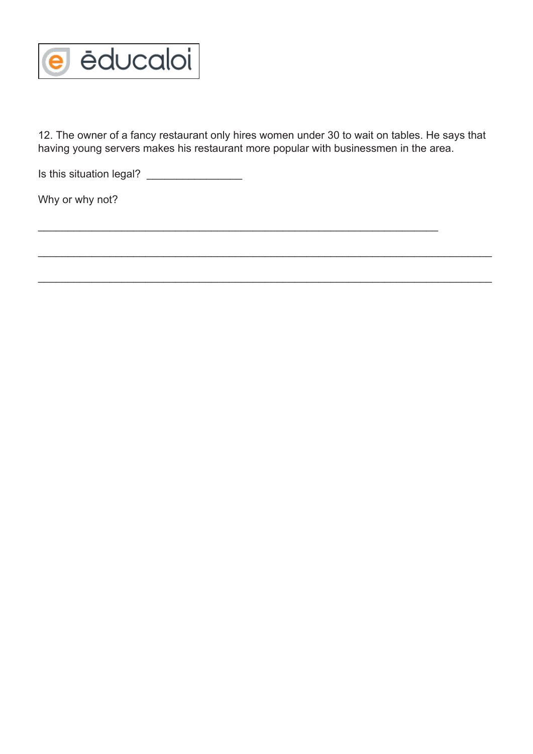

12. The owner of a fancy restaurant only hires women under 30 to wait on tables. He says that having young servers makes his restaurant more popular with businessmen in the area.

\_\_\_\_\_\_\_\_\_\_\_\_\_\_\_\_\_\_\_\_\_\_\_\_\_\_\_\_\_\_\_\_\_\_\_\_\_\_\_\_\_\_\_\_\_\_\_\_\_\_\_\_\_\_\_\_\_\_\_\_\_\_\_\_\_\_\_\_\_\_\_\_\_\_\_\_

\_\_\_\_\_\_\_\_\_\_\_\_\_\_\_\_\_\_\_\_\_\_\_\_\_\_\_\_\_\_\_\_\_\_\_\_\_\_\_\_\_\_\_\_\_\_\_\_\_\_\_\_\_\_\_\_\_\_\_\_\_\_\_\_\_\_\_\_\_\_\_\_\_\_\_\_

\_\_\_\_\_\_\_\_\_\_\_\_\_\_\_\_\_\_\_\_\_\_\_\_\_\_\_\_\_\_\_\_\_\_\_\_\_\_\_\_\_\_\_\_\_\_\_\_\_\_\_\_\_\_\_\_\_\_\_\_\_\_\_\_\_\_\_

Is this situation legal? \_\_\_\_\_\_\_\_\_\_\_\_\_\_\_\_

Why or why not?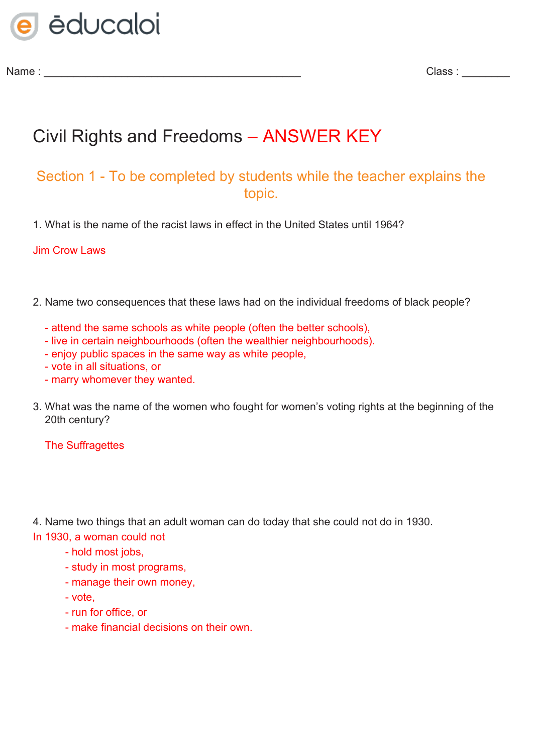

Name : \_\_\_\_\_\_\_\_\_\_\_\_\_\_\_\_\_\_\_\_\_\_\_\_\_\_\_\_\_\_\_\_\_\_\_\_\_\_\_\_\_\_\_ Class : \_\_\_\_\_\_\_\_

# Civil Rights and Freedoms – ANSWER KEY

## Section 1 - To be completed by students while the teacher explains the topic.

1. What is the name of the racist laws in effect in the United States until 1964?

Jim Crow Laws

- 2. Name two consequences that these laws had on the individual freedoms of black people?
	- attend the same schools as white people (often the better schools),
	- live in certain neighbourhoods (often the wealthier neighbourhoods).
	- enjoy public spaces in the same way as white people,
	- vote in all situations, or
	- marry whomever they wanted.
- 3. What was the name of the women who fought for women's voting rights at the beginning of the 20th century?

The Suffragettes

4. Name two things that an adult woman can do today that she could not do in 1930.

In 1930, a woman could not

- hold most jobs,
- study in most programs,
- manage their own money,
- vote,
- run for office, or
- make financial decisions on their own.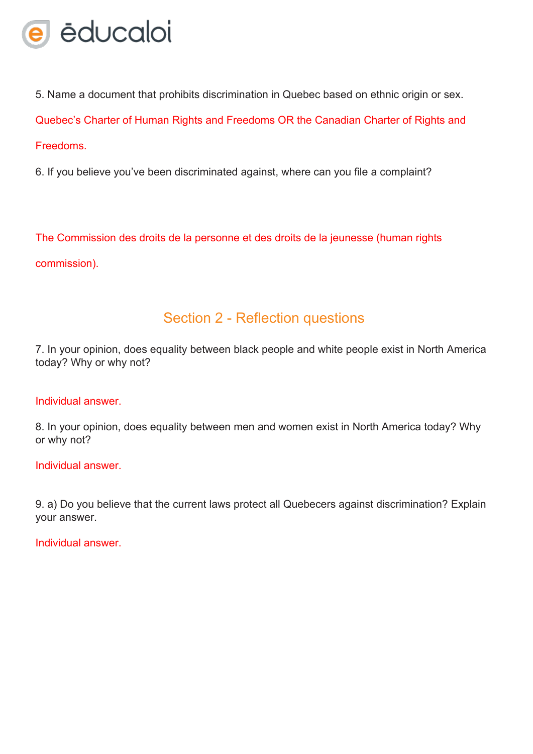

5. Name a document that prohibits discrimination in Quebec based on ethnic origin or sex.

Quebec's Charter of Human Rights and Freedoms OR the Canadian Charter of Rights and

#### **Freedoms**

6. If you believe you've been discriminated against, where can you file a complaint?

The Commission des droits de la personne et des droits de la jeunesse (human rights commission).

## Section 2 - Reflection questions

7. In your opinion, does equality between black people and white people exist in North America today? Why or why not?

#### Individual answer.

8. In your opinion, does equality between men and women exist in North America today? Why or why not?

#### Individual answer.

9. a) Do you believe that the current laws protect all Quebecers against discrimination? Explain your answer.

Individual answer.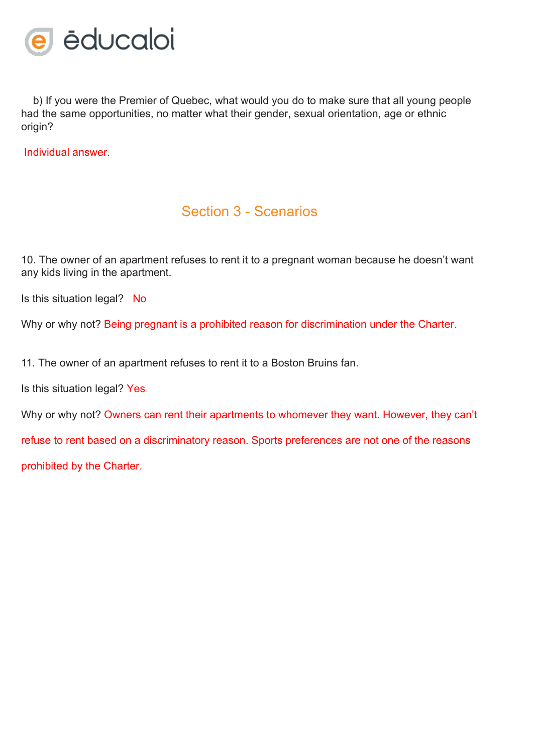

b) If you were the Premier of Quebec, what would you do to make sure that all young people had the same opportunities, no matter what their gender, sexual orientation, age or ethnic origin?

Individual answer.

### Section 3 - Scenarios

10. The owner of an apartment refuses to rent it to a pregnant woman because he doesn't want any kids living in the apartment.

Is this situation legal? No

Why or why not? Being pregnant is a prohibited reason for discrimination under the Charter.

11. The owner of an apartment refuses to rent it to a Boston Bruins fan.

Is this situation legal? Yes

Why or why not? Owners can rent their apartments to whomever they want. However, they can't

refuse to rent based on a discriminatory reason. Sports preferences are not one of the reasons

prohibited by the Charter.